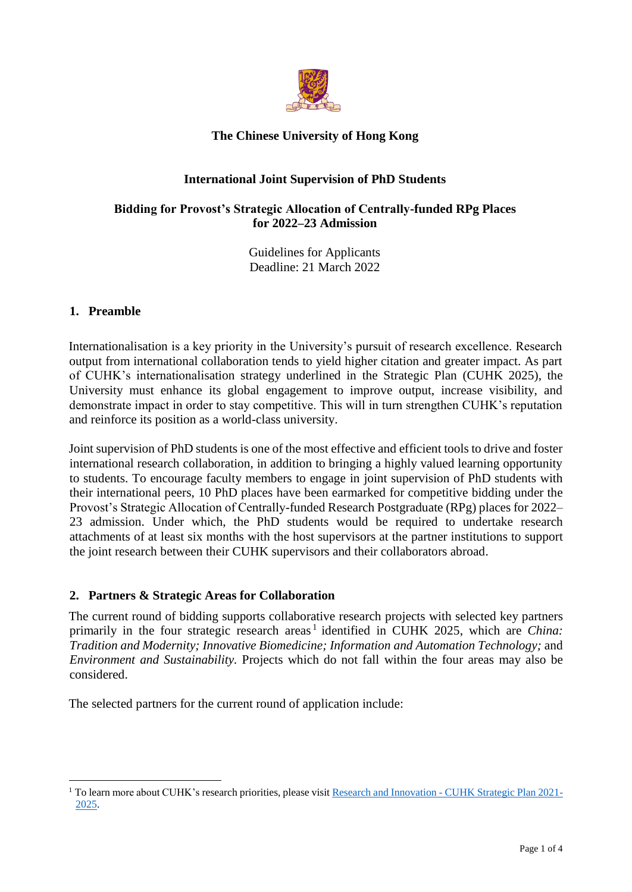

# **The Chinese University of Hong Kong**

# **International Joint Supervision of PhD Students**

### **Bidding for Provost's Strategic Allocation of Centrally-funded RPg Places for 2022**–**23 Admission**

Guidelines for Applicants Deadline: 21 March 2022

### **1. Preamble**

 $\overline{a}$ 

Internationalisation is a key priority in the University's pursuit of research excellence. Research output from international collaboration tends to yield higher citation and greater impact. As part of CUHK's internationalisation strategy underlined in the Strategic Plan (CUHK 2025), the University must enhance its global engagement to improve output, increase visibility, and demonstrate impact in order to stay competitive. This will in turn strengthen CUHK's reputation and reinforce its position as a world-class university.

Joint supervision of PhD students is one of the most effective and efficient tools to drive and foster international research collaboration, in addition to bringing a highly valued learning opportunity to students. To encourage faculty members to engage in joint supervision of PhD students with their international peers, 10 PhD places have been earmarked for competitive bidding under the Provost's Strategic Allocation of Centrally-funded Research Postgraduate (RPg) places for 2022– 23 admission. Under which, the PhD students would be required to undertake research attachments of at least six months with the host supervisors at the partner institutions to support the joint research between their CUHK supervisors and their collaborators abroad.

## **2. Partners & Strategic Areas for Collaboration**

The current round of bidding supports collaborative research projects with selected key partners primarily in the four strategic research areas<sup>1</sup> identified in CUHK 2025, which are *China*: *Tradition and Modernity; Innovative Biomedicine; Information and Automation Technology;* and *Environment and Sustainability.* Projects which do not fall within the four areas may also be considered.

The selected partners for the current round of application include:

<sup>&</sup>lt;sup>1</sup> To learn more about CUHK's research priorities, please visit Research and Innovation - [CUHK Strategic Plan 2021-](https://www.cuhk.edu.hk/strategicplan/cuhk2025/research.html) [2025.](https://www.cuhk.edu.hk/strategicplan/cuhk2025/research.html)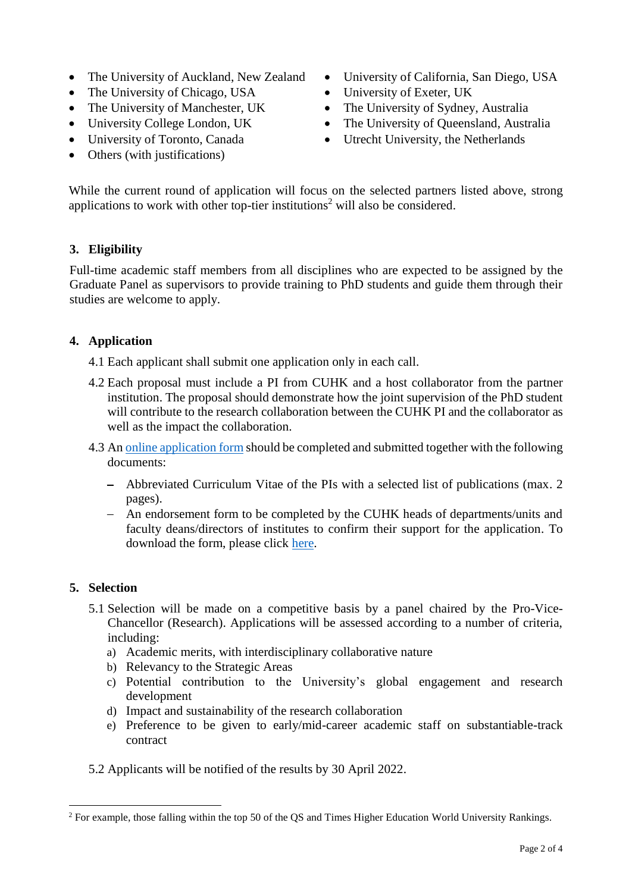- The University of Auckland, New Zealand
- The University of Chicago, USA
- The University of Manchester, UK
- University College London, UK
- University of Toronto, Canada
- Others (with justifications)
- University of California, San Diego, USA
- University of Exeter, UK
- The University of Sydney, Australia
- The University of Queensland, Australia
- Utrecht University, the Netherlands

While the current round of application will focus on the selected partners listed above, strong applications to work with other top-tier institutions<sup>2</sup> will also be considered.

# **3. Eligibility**

Full-time academic staff members from all disciplines who are expected to be assigned by the Graduate Panel as supervisors to provide training to PhD students and guide them through their studies are welcome to apply.

# **4. Application**

4.1 Each applicant shall submit one application only in each call.

- 4.2 Each proposal must include a PI from CUHK and a host collaborator from the partner institution. The proposal should demonstrate how the joint supervision of the PhD student will contribute to the research collaboration between the CUHK PI and the collaborator as well as the impact the collaboration.
- 4.3 An [online application](https://cloud.itsc.cuhk.edu.hk/webform/view.php?id=13646486) form should be completed and submitted together with the following documents:
	- Abbreviated Curriculum Vitae of the PIs with a selected list of publications (max. 2 pages).
	- An endorsement form to be completed by the CUHK heads of departments/units and faculty deans/directors of institutes to confirm their support for the application. To download the form, please click [here.](https://www.oal.cuhk.edu.hk/files/linkage/joint_intl_phd/Joint_RPg_Endorsement-Form_2022-23.docx)

## **5. Selection**

- 5.1 Selection will be made on a competitive basis by a panel chaired by the Pro-Vice-Chancellor (Research). Applications will be assessed according to a number of criteria, including:
	- a) Academic merits, with interdisciplinary collaborative nature
	- b) Relevancy to the Strategic Areas
	- c) Potential contribution to the University's global engagement and research development
	- d) Impact and sustainability of the research collaboration
	- e) Preference to be given to early/mid-career academic staff on substantiable-track contract
- 5.2 Applicants will be notified of the results by 30 April 2022.

 $\overline{a}$ <sup>2</sup> For example, those falling within the top 50 of the QS and Times Higher Education World University Rankings.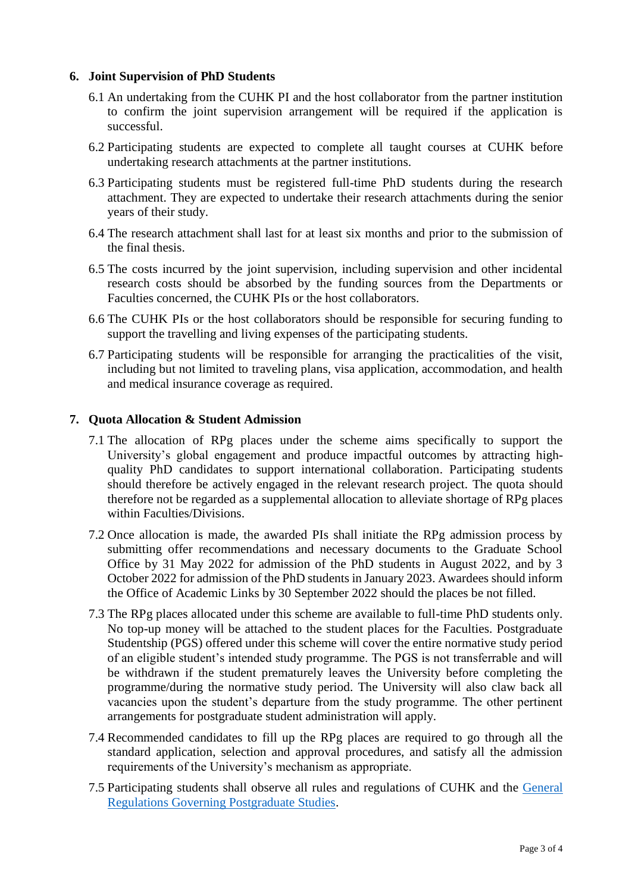#### **6. Joint Supervision of PhD Students**

- 6.1 An undertaking from the CUHK PI and the host collaborator from the partner institution to confirm the joint supervision arrangement will be required if the application is successful.
- 6.2 Participating students are expected to complete all taught courses at CUHK before undertaking research attachments at the partner institutions.
- 6.3 Participating students must be registered full-time PhD students during the research attachment. They are expected to undertake their research attachments during the senior years of their study.
- 6.4 The research attachment shall last for at least six months and prior to the submission of the final thesis.
- 6.5 The costs incurred by the joint supervision, including supervision and other incidental research costs should be absorbed by the funding sources from the Departments or Faculties concerned, the CUHK PIs or the host collaborators.
- 6.6 The CUHK PIs or the host collaborators should be responsible for securing funding to support the travelling and living expenses of the participating students.
- 6.7 Participating students will be responsible for arranging the practicalities of the visit, including but not limited to traveling plans, visa application, accommodation, and health and medical insurance coverage as required.

#### **7. Quota Allocation & Student Admission**

- 7.1 The allocation of RPg places under the scheme aims specifically to support the University's global engagement and produce impactful outcomes by attracting highquality PhD candidates to support international collaboration. Participating students should therefore be actively engaged in the relevant research project. The quota should therefore not be regarded as a supplemental allocation to alleviate shortage of RPg places within Faculties/Divisions.
- 7.2 Once allocation is made, the awarded PIs shall initiate the RPg admission process by submitting offer recommendations and necessary documents to the Graduate School Office by 31 May 2022 for admission of the PhD students in August 2022, and by 3 October 2022 for admission of the PhD students in January 2023. Awardees should inform the Office of Academic Links by 30 September 2022 should the places be not filled.
- 7.3 The RPg places allocated under this scheme are available to full-time PhD students only. No top-up money will be attached to the student places for the Faculties. Postgraduate Studentship (PGS) offered under this scheme will cover the entire normative study period of an eligible student's intended study programme. The PGS is not transferrable and will be withdrawn if the student prematurely leaves the University before completing the programme/during the normative study period. The University will also claw back all vacancies upon the student's departure from the study programme. The other pertinent arrangements for postgraduate student administration will apply.
- 7.4 Recommended candidates to fill up the RPg places are required to go through all the standard application, selection and approval procedures, and satisfy all the admission requirements of the University's mechanism as appropriate.
- 7.5 Participating students shall observe all rules and regulations of CUHK and the [General](https://www.gs.cuhk.edu.hk/download/General_Regulations_Pg.pdf)  [Regulations Governing Postgraduate Studies.](https://www.gs.cuhk.edu.hk/download/General_Regulations_Pg.pdf)